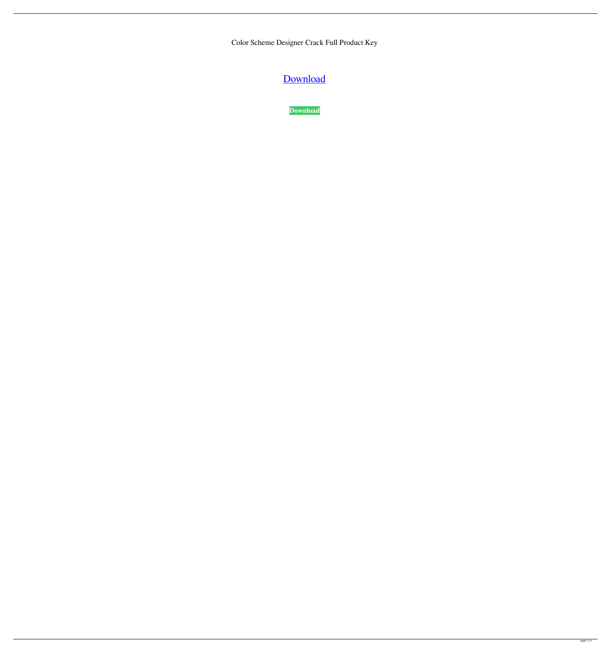Color Scheme Designer Crack Full Product Key

[Download](http://evacdir.com/cramps/ZG93bmxvYWR8OGsxTkhsMU1IeDhNVFkxTkRRek5qWTFPSHg4TWpVNU1IeDhLRTBwSUZkdmNtUndjbVZ6Y3lCYldFMU1VbEJESUZZeUlGQkVSbDA?Q29sb3IgU2NoZW1lIERlc2lnbmVyQ29=mindfully=maddona=copyrightable)

**[Download](http://evacdir.com/cramps/ZG93bmxvYWR8OGsxTkhsMU1IeDhNVFkxTkRRek5qWTFPSHg4TWpVNU1IeDhLRTBwSUZkdmNtUndjbVZ6Y3lCYldFMU1VbEJESUZZeUlGQkVSbDA?Q29sb3IgU2NoZW1lIERlc2lnbmVyQ29=mindfully=maddona=copyrightable)**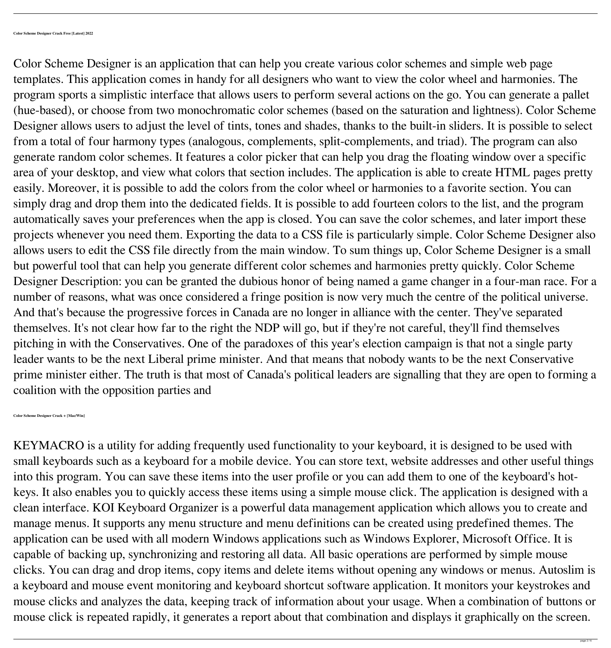Color Scheme Designer is an application that can help you create various color schemes and simple web page templates. This application comes in handy for all designers who want to view the color wheel and harmonies. The program sports a simplistic interface that allows users to perform several actions on the go. You can generate a pallet (hue-based), or choose from two monochromatic color schemes (based on the saturation and lightness). Color Scheme Designer allows users to adjust the level of tints, tones and shades, thanks to the built-in sliders. It is possible to select from a total of four harmony types (analogous, complements, split-complements, and triad). The program can also generate random color schemes. It features a color picker that can help you drag the floating window over a specific area of your desktop, and view what colors that section includes. The application is able to create HTML pages pretty easily. Moreover, it is possible to add the colors from the color wheel or harmonies to a favorite section. You can simply drag and drop them into the dedicated fields. It is possible to add fourteen colors to the list, and the program automatically saves your preferences when the app is closed. You can save the color schemes, and later import these projects whenever you need them. Exporting the data to a CSS file is particularly simple. Color Scheme Designer also allows users to edit the CSS file directly from the main window. To sum things up, Color Scheme Designer is a small but powerful tool that can help you generate different color schemes and harmonies pretty quickly. Color Scheme Designer Description: you can be granted the dubious honor of being named a game changer in a four-man race. For a number of reasons, what was once considered a fringe position is now very much the centre of the political universe. And that's because the progressive forces in Canada are no longer in alliance with the center. They've separated themselves. It's not clear how far to the right the NDP will go, but if they're not careful, they'll find themselves pitching in with the Conservatives. One of the paradoxes of this year's election campaign is that not a single party leader wants to be the next Liberal prime minister. And that means that nobody wants to be the next Conservative prime minister either. The truth is that most of Canada's political leaders are signalling that they are open to forming a coalition with the opposition parties and

**Color Scheme Designer Crack + [Mac/Win]**

KEYMACRO is a utility for adding frequently used functionality to your keyboard, it is designed to be used with small keyboards such as a keyboard for a mobile device. You can store text, website addresses and other useful things into this program. You can save these items into the user profile or you can add them to one of the keyboard's hotkeys. It also enables you to quickly access these items using a simple mouse click. The application is designed with a clean interface. KOI Keyboard Organizer is a powerful data management application which allows you to create and manage menus. It supports any menu structure and menu definitions can be created using predefined themes. The application can be used with all modern Windows applications such as Windows Explorer, Microsoft Office. It is capable of backing up, synchronizing and restoring all data. All basic operations are performed by simple mouse clicks. You can drag and drop items, copy items and delete items without opening any windows or menus. Autoslim is

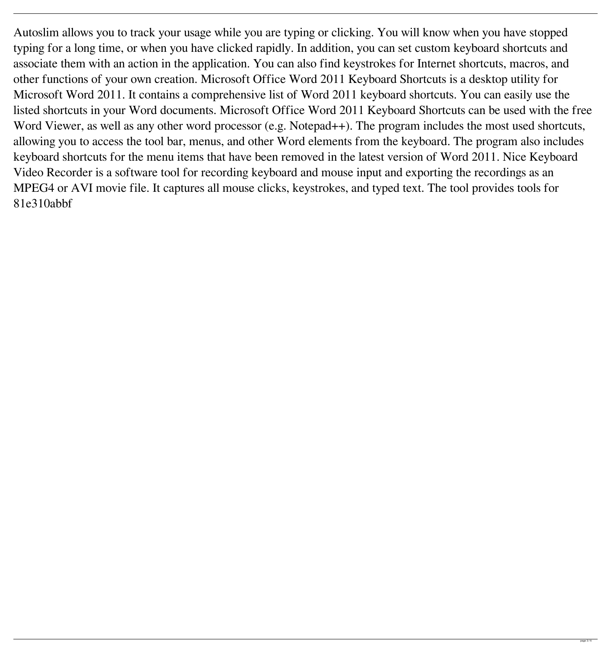Autoslim allows you to track your usage while you are typing or clicking. You will know when you have stopped typing for a long time, or when you have clicked rapidly. In addition, you can set custom keyboard shortcuts and associate them with an action in the application. You can also find keystrokes for Internet shortcuts, macros, and other functions of your own creation. Microsoft Office Word 2011 Keyboard Shortcuts is a desktop utility for Microsoft Word 2011. It contains a comprehensive list of Word 2011 keyboard shortcuts. You can easily use the listed shortcuts in your Word documents. Microsoft Office Word 2011 Keyboard Shortcuts can be used with the free Word Viewer, as well as any other word processor (e.g. Notepad++). The program includes the most used shortcuts, allowing you to access the tool bar, menus, and other Word elements from the keyboard. The program also includes keyboard shortcuts for the menu items that have been removed in the latest version of Word 2011. Nice Keyboard Video Recorder is a software tool for recording keyboard and mouse input and exporting the recordings as an MPEG4 or AVI movie file. It captures all mouse clicks, keystrokes, and typed text. The tool provides tools for 81e310abbf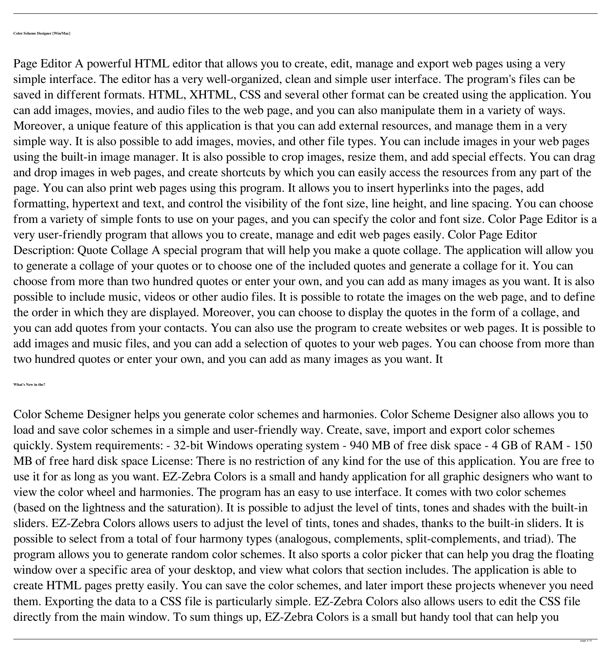Page Editor A powerful HTML editor that allows you to create, edit, manage and export web pages using a very simple interface. The editor has a very well-organized, clean and simple user interface. The program's files can be saved in different formats. HTML, XHTML, CSS and several other format can be created using the application. You can add images, movies, and audio files to the web page, and you can also manipulate them in a variety of ways. Moreover, a unique feature of this application is that you can add external resources, and manage them in a very simple way. It is also possible to add images, movies, and other file types. You can include images in your web pages using the built-in image manager. It is also possible to crop images, resize them, and add special effects. You can drag and drop images in web pages, and create shortcuts by which you can easily access the resources from any part of the page. You can also print web pages using this program. It allows you to insert hyperlinks into the pages, add formatting, hypertext and text, and control the visibility of the font size, line height, and line spacing. You can choose from a variety of simple fonts to use on your pages, and you can specify the color and font size. Color Page Editor is a very user-friendly program that allows you to create, manage and edit web pages easily. Color Page Editor Description: Quote Collage A special program that will help you make a quote collage. The application will allow you to generate a collage of your quotes or to choose one of the included quotes and generate a collage for it. You can choose from more than two hundred quotes or enter your own, and you can add as many images as you want. It is also possible to include music, videos or other audio files. It is possible to rotate the images on the web page, and to define the order in which they are displayed. Moreover, you can choose to display the quotes in the form of a collage, and you can add quotes from your contacts. You can also use the program to create websites or web pages. It is possible to add images and music files, and you can add a selection of quotes to your web pages. You can choose from more than two hundred quotes or enter your own, and you can add as many images as you want. It

**What's New in the?**

Color Scheme Designer helps you generate color schemes and harmonies. Color Scheme Designer also allows you to load and save color schemes in a simple and user-friendly way. Create, save, import and export color schemes quickly. System requirements: - 32-bit Windows operating system - 940 MB of free disk space - 4 GB of RAM - 150 MB of free hard disk space License: There is no restriction of any kind for the use of this application. You are free to use it for as long as you want. EZ-Zebra Colors is a small and handy application for all graphic designers who want to view the color wheel and harmonies. The program has an easy to use interface. It comes with two color schemes (based on the lightness and the saturation). It is possible to adjust the level of tints, tones and shades with the built-in sliders. EZ-Zebra Colors allows users to adjust the level of tints, tones and shades, thanks to the built-in sliders. It is possible to select from a total of four harmony types (analogous, complements, split-complements, and triad). The program allows you to generate random color schemes. It also sports a color picker that can help you drag the floating window over a specific area of your desktop, and view what colors that section includes. The application is able to

create HTML pages pretty easily. You can save the color schemes, and later import these projects whenever you need

them. Exporting the data to a CSS file is particularly simple. EZ-Zebra Colors also allows users to edit the CSS file

directly from the main window. To sum things up, EZ-Zebra Colors is a small but handy tool that can help you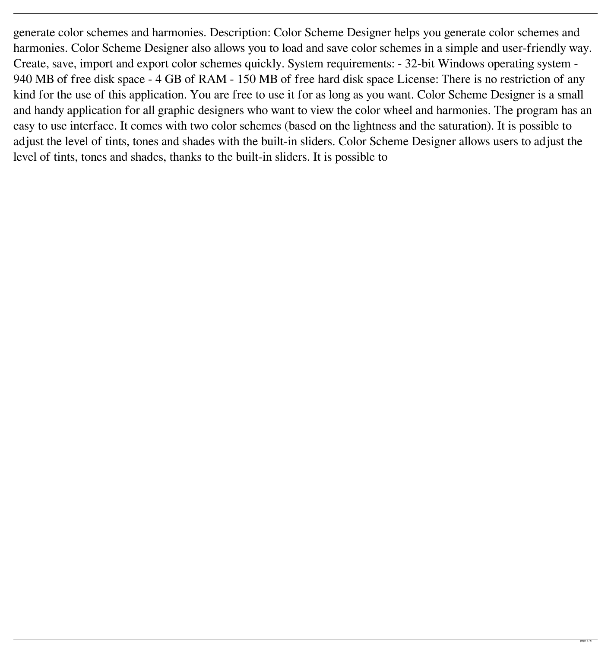generate color schemes and harmonies. Description: Color Scheme Designer helps you generate color schemes and harmonies. Color Scheme Designer also allows you to load and save color schemes in a simple and user-friendly way. Create, save, import and export color schemes quickly. System requirements: - 32-bit Windows operating system - 940 MB of free disk space - 4 GB of RAM - 150 MB of free hard disk space License: There is no restriction of any kind for the use of this application. You are free to use it for as long as you want. Color Scheme Designer is a small and handy application for all graphic designers who want to view the color wheel and harmonies. The program has an easy to use interface. It comes with two color schemes (based on the lightness and the saturation). It is possible to adjust the level of tints, tones and shades with the built-in sliders. Color Scheme Designer allows users to adjust the level of tints, tones and shades, thanks to the built-in sliders. It is possible to